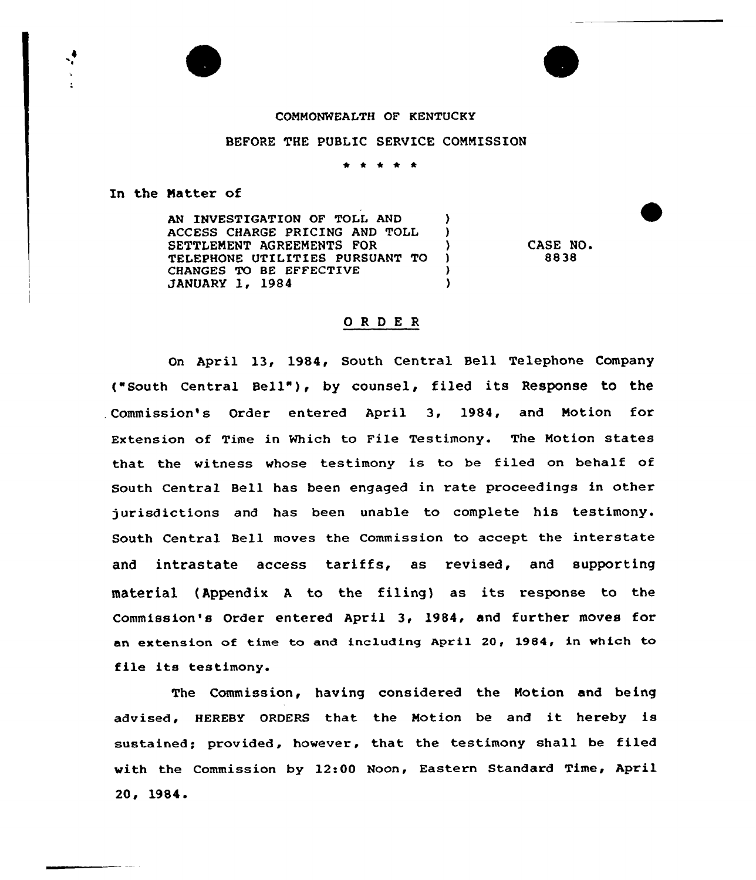## COMMONWEALTH OF KENTUCKY

## BEFORE THE PUBLIC SERVICE COMMISSION

\* \* \* \* \*

In the Matter of

AN INVESTIGATION OF TOLL AND (3) ACCESS CHARGE PRICING AND TOLL ) SETTLEMENT AGREEMENTS FOR (1997) TELEPHONE UTILITIES PURSUANT TO )<br>
CHANGES TO BE EFFECTIVE CHANGES TO BE EFFECTIVE (1994) JANUARY 1, 1984 )

CASE NO. 8838

## ORDER

On April 13, 1984, South Central Bell Telephone Company ("south central Bell" ), by counsel, filed its Response to the Commission's Order entered April 3, 1984, and Motion for Extension of Time in Which to File Testimony. The Motion states that the witness whose testimony is to be filed on behalf of South Central Bell has been engaged in rate proceedings in other jurisdictions and has been unable to complete his testimony. South Central Bell moves the Commission to accept the interstate and intrastate access tariffs, as revised, and supporting material (Appendix <sup>A</sup> to the filing) as its response to the Commission's Order entered April 3, 1984, and further moves for an extension of time to and including April 20, 1984, in which to file its testimony.

The Commission, having considered the Motion and being advised, HEREBY ORDERS that the Motion be and it hereby is sustained; provided, however, that the testimony shall be filed with the Commission by 12:00 Noon, Eastern Standard Time, April 20, 1984.